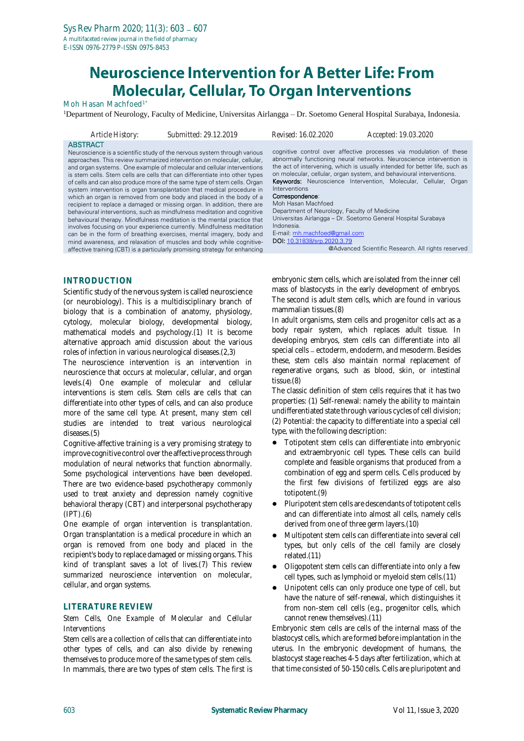# **Neuroscience Intervention for A Better Life: From Molecular, Cellular, To Organ Interventions**

Moh Hasan Machfoed<sup>1\*</sup>

<sup>1</sup>Department of Neurology, Faculty of Medicine, Universitas Airlangga – Dr. Soetomo General Hospital Surabaya, Indonesia.

*Article History: Submitted: 29.12.2019 Revised: 16.02.2020 Accepted: 19.03.2020*

**ABSTRACT** Neuroscience is a scientific study of the nervous system through various approaches. This review summarized intervention on molecular, cellular, and organ systems. One example of molecular and cellular interventions is stem cells. Stem cells are cells that can differentiate into other types of cells and can also produce more of the same type of stem cells. Organ system intervention is organ transplantation that medical procedure in which an organ is removed from one body and placed in the body of a recipient to replace a damaged or missing organ. In addition, there are behavioural interventions, such as mindfulness meditation and cognitive behavioural therapy. Mindfulness meditation is the mental practice that involves focusing on your experience currently. Mindfulness meditation can be in the form of breathing exercises, mental imagery, body and mind awareness, and relaxation of muscles and body while cognitiveaffective training (CBT) is a particularly promising strategy for enhancing

**INTRODUCTION**

Scientific study of the nervous system is called neuroscience (or neurobiology). This is a multidisciplinary branch of biology that is a combination of anatomy, physiology, cytology, molecular biology, developmental biology, mathematical models and psychology.(1) It is become alternative approach amid discussion about the various roles of infection in various neurological diseases.(2,3)

The neuroscience intervention is an intervention in neuroscience that occurs at molecular, cellular, and organ levels.(4) One example of molecular and cellular interventions is stem cells. Stem cells are cells that can differentiate into other types of cells, and can also produce more of the same cell type. At present, many stem cell studies are intended to treat various neurological diseases.(5)

Cognitive-affective training is a very promising strategy to improve cognitive control over the affective process through modulation of neural networks that function abnormally. Some psychological interventions have been developed. There are two evidence-based psychotherapy commonly used to treat anxiety and depression namely cognitive behavioral therapy (CBT) and interpersonal psychotherapy (IPT).(6)

One example of organ intervention is transplantation. Organ transplantation is a medical procedure in which an organ is removed from one body and placed in the recipient's body to replace damaged or missing organs. This kind of transplant saves a lot of lives.(7) This review summarized neuroscience intervention on molecular, cellular, and organ systems.

### **LITERATURE REVIEW**

#### *Stem Cells, One Example of Molecular and Cellular Interventions*

Stem cells are a collection of cells that can differentiate into other types of cells, and can also divide by renewing themselves to produce more of the same types of stem cells. In mammals, there are two types of stem cells. The first is cognitive control over affective processes via modulation of these abnormally functioning neural networks. Neuroscience intervention is the act of intervening, which is usually intended for better life, such as on molecular, cellular, organ system, and behavioural interventions. Keywords: Neuroscience Intervention, Molecular, Cellular, Organ Interventions Correspondence: Moh Hasan Machfoed Department of Neurology, Faculty of Medicine Universitas Airlangga – Dr. Soetomo General Hospital Surabaya Indonesia. E-mail[: mh.machfoed@gmail.com](mailto:mh.machfoed@gmail.com) DOI: [10.31838/srp.2020.3.79](http://dx.doi.org/10.5530/srp.2019.2.04)

@Advanced Scientific Research. All rights reserved

embryonic stem cells, which are isolated from the inner cell mass of blastocysts in the early development of embryos. The second is adult stem cells, which are found in various mammalian tissues.(8)

In adult organisms, stem cells and progenitor cells act as a body repair system, which replaces adult tissue. In developing embryos, stem cells can differentiate into all special cells - ectoderm, endoderm, and mesoderm. Besides these, stem cells also maintain normal replacement of regenerative organs, such as blood, skin, or intestinal tissue.(8)

The classic definition of stem cells requires that it has two properties: (1) Self-renewal: namely the ability to maintain undifferentiated state through various cycles of cell division; (2) Potential: the capacity to differentiate into a special cell type, with the following description:

- Totipotent stem cells can differentiate into embryonic and extraembryonic cell types. These cells can build complete and feasible organisms that produced from a combination of egg and sperm cells. Cells produced by the first few divisions of fertilized eggs are also totipotent.(9)
- Pluripotent stem cells are descendants of totipotent cells and can differentiate into almost all cells, namely cells derived from one of three germ layers.(10)
- Multipotent stem cells can differentiate into several cell types, but only cells of the cell family are closely related.(11)
- Oligopotent stem cells can differentiate into only a few cell types, such as lymphoid or myeloid stem cells.(11)
- Unipotent cells can only produce one type of cell, but have the nature of self-renewal, which distinguishes it from non-stem cell cells (e.g., progenitor cells, which cannot renew themselves).(11)

Embryonic stem cells are cells of the internal mass of the blastocyst cells, which are formed before implantation in the uterus. In the embryonic development of humans, the blastocyst stage reaches 4-5 days after fertilization, which at that time consisted of 50-150 cells. Cells are pluripotent and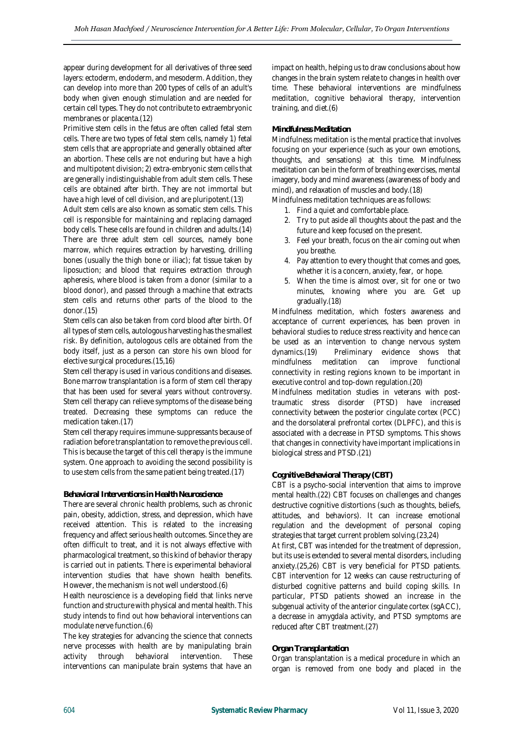appear during development for all derivatives of three seed layers: ectoderm, endoderm, and mesoderm. Addition, they can develop into more than 200 types of cells of an adult's body when given enough stimulation and are needed for certain cell types. They do not contribute to extraembryonic membranes or placenta.(12)

Primitive stem cells in the fetus are often called fetal stem cells. There are two types of fetal stem cells, namely 1) fetal stem cells that are appropriate and generally obtained after an abortion. These cells are not enduring but have a high and multipotent division; 2) extra-embryonic stem cells that are generally indistinguishable from adult stem cells. These cells are obtained after birth. They are not immortal but have a high level of cell division, and are pluripotent.(13)

Adult stem cells are also known as somatic stem cells. This cell is responsible for maintaining and replacing damaged body cells. These cells are found in children and adults.(14) There are three adult stem cell sources, namely bone marrow, which requires extraction by harvesting, drilling bones (usually the thigh bone or iliac); fat tissue taken by liposuction; and blood that requires extraction through apheresis, where blood is taken from a donor (similar to a blood donor), and passed through a machine that extracts stem cells and returns other parts of the blood to the donor.(15)

Stem cells can also be taken from cord blood after birth. Of all types of stem cells, autologous harvesting has the smallest risk. By definition, autologous cells are obtained from the body itself, just as a person can store his own blood for elective surgical procedures.(15,16)

Stem cell therapy is used in various conditions and diseases. Bone marrow transplantation is a form of stem cell therapy that has been used for several years without controversy. Stem cell therapy can relieve symptoms of the disease being treated. Decreasing these symptoms can reduce the medication taken.(17)

Stem cell therapy requires immune-suppressants because of radiation before transplantation to remove the previous cell. This is because the target of this cell therapy is the immune system. One approach to avoiding the second possibility is to use stem cells from the same patient being treated.(17)

#### *Behavioral Interventions in Health Neuroscience*

There are several chronic health problems, such as chronic pain, obesity, addiction, stress, and depression, which have received attention. This is related to the increasing frequency and affect serious health outcomes. Since they are often difficult to treat, and it is not always effective with pharmacological treatment, so this kind of behavior therapy is carried out in patients. There is experimental behavioral intervention studies that have shown health benefits. However, the mechanism is not well understood.(6)

Health neuroscience is a developing field that links nerve function and structure with physical and mental health. This study intends to find out how behavioral interventions can modulate nerve function.(6)

The key strategies for advancing the science that connects nerve processes with health are by manipulating brain activity through behavioral intervention. These interventions can manipulate brain systems that have an

impact on health, helping us to draw conclusions about how changes in the brain system relate to changes in health over time. These behavioral interventions are mindfulness meditation, cognitive behavioral therapy, intervention training, and diet.(6)

### *Mindfulness Meditation*

Mindfulness meditation is the mental practice that involves focusing on your experience (such as your own emotions, thoughts, and sensations) at this time. Mindfulness meditation can be in the form of breathing exercises, mental imagery, body and mind awareness (awareness of body and mind), and relaxation of muscles and body.(18)

Mindfulness meditation techniques are as follows:

- 1. Find a quiet and comfortable place.
- 2. Try to put aside all thoughts about the past and the future and keep focused on the present.
- 3. Feel your breath, focus on the air coming out when you breathe.
- 4. Pay attention to every thought that comes and goes, whether it is a concern, anxiety, fear, or hope.
- 5. When the time is almost over, sit for one or two minutes, knowing where you are. Get up gradually.(18)

Mindfulness meditation, which fosters awareness and acceptance of current experiences, has been proven in behavioral studies to reduce stress reactivity and hence can be used as an intervention to change nervous system dynamics.(19)Preliminary evidence shows that mindfulness meditation can improve functional connectivity in resting regions known to be important in executive control and top-down regulation.(20)

Mindfulness meditation studies in veterans with posttraumatic stress disorder (PTSD) have increased connectivity between the posterior cingulate cortex (PCC) and the dorsolateral prefrontal cortex (DLPFC), and this is associated with a decrease in PTSD symptoms. This shows that changes in connectivity have important implications in biological stress and PTSD.(21)

### *Cognitive Behavioral Therapy (CBT)*

CBT is a psycho-social intervention that aims to improve mental health.(22) CBT focuses on challenges and changes destructive cognitive distortions (such as thoughts, beliefs, attitudes, and behaviors). It can increase emotional regulation and the development of personal coping strategies that target current problem solving.(23,24)

At first, CBT was intended for the treatment of depression, but its use is extended to several mental disorders, including anxiety.(25,26) CBT is very beneficial for PTSD patients. CBT intervention for 12 weeks can cause restructuring of disturbed cognitive patterns and build coping skills. In particular, PTSD patients showed an increase in the subgenual activity of the anterior cingulate cortex (sgACC), a decrease in amygdala activity, and PTSD symptoms are reduced after CBT treatment.(27)

### *Organ Transplantation*

Organ transplantation is a medical procedure in which an organ is removed from one body and placed in the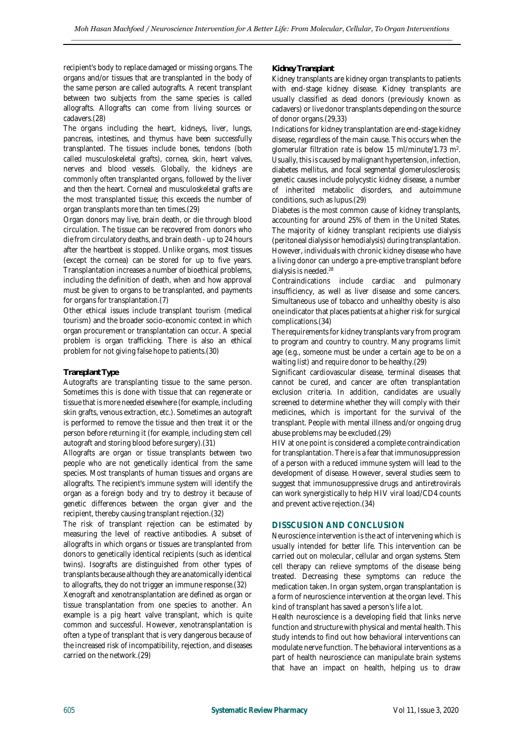recipient's body to replace damaged or missing organs. The organs and/or tissues that are transplanted in the body of the same person are called autografts. A recent transplant between two subjects from the same species is called allografts. Allografts can come from living sources or cadavers.(28)

The organs including the heart, kidneys, liver, lungs, pancreas, intestines, and thymus have been successfully transplanted. The tissues include bones, tendons (both called musculoskeletal grafts), cornea, skin, heart valves, nerves and blood vessels. Globally, the kidneys are commonly often transplanted organs, followed by the liver and then the heart. Corneal and musculoskeletal grafts are the most transplanted tissue; this exceeds the number of organ transplants more than ten times.(29)

Organ donors may live, brain death, or die through blood circulation. The tissue can be recovered from donors who die from circulatory deaths, and brain death - up to 24 hours after the heartbeat is stopped. Unlike organs, most tissues (except the cornea) can be stored for up to five years. Transplantation increases a number of bioethical problems, including the definition of death, when and how approval must be given to organs to be transplanted, and payments for organs for transplantation.(7)

Other ethical issues include transplant tourism (medical tourism) and the broader socio-economic context in which organ procurement or transplantation can occur. A special problem is organ trafficking. There is also an ethical problem for not giving false hope to patients.(30)

### *Transplant Type*

Autografts are transplanting tissue to the same person. Sometimes this is done with tissue that can regenerate or tissue that is more needed elsewhere (for example, including skin grafts, venous extraction, etc.). Sometimes an autograft is performed to remove the tissue and then treat it or the person before returning it (for example, including stem cell autograft and storing blood before surgery).(31)

Allografts are organ or tissue transplants between two people who are not genetically identical from the same species. Most transplants of human tissues and organs are allografts. The recipient's immune system will identify the organ as a foreign body and try to destroy it because of genetic differences between the organ giver and the recipient, thereby causing transplant rejection.(32)

The risk of transplant rejection can be estimated by measuring the level of reactive antibodies. A subset of allografts in which organs or tissues are transplanted from donors to genetically identical recipients (such as identical twins). Isografts are distinguished from other types of transplants because although they are anatomically identical to allografts, they do not trigger an immune response.(32) Xenograft and xenotransplantation are defined as organ or tissue transplantation from one species to another. An example is a pig heart valve transplant, which is quite common and successful. However, xenotransplantation is often a type of transplant that is very dangerous because of the increased risk of incompatibility, rejection, and diseases

## *Kidney Transplant*

Kidney transplants are kidney organ transplants to patients with end-stage kidney disease. Kidney transplants are usually classified as dead donors (previously known as cadavers) or live donor transplants depending on the source of donor organs.(29,33)

Indications for kidney transplantation are end-stage kidney disease, regardless of the main cause. This occurs when the glomerular filtration rate is below 15 ml/minute/1.73 m<sup>2</sup>. Usually, this is caused by malignant hypertension, infection, diabetes mellitus, and focal segmental glomerulosclerosis; genetic causes include polycystic kidney disease, a number of inherited metabolic disorders, and autoimmune conditions, such as lupus.(29)

Diabetes is the most common cause of kidney transplants, accounting for around 25% of them in the United States. The majority of kidney transplant recipients use dialysis (peritoneal dialysis or hemodialysis) during transplantation. However, individuals with chronic kidney disease who have a living donor can undergo a pre-emptive transplant before dialysis is needed.<sup>28</sup>

Contraindications include cardiac and pulmonary insufficiency, as well as liver disease and some cancers. Simultaneous use of tobacco and unhealthy obesity is also one indicator that places patients at a higher risk for surgical complications.(34)

The requirements for kidney transplants vary from program to program and country to country. Many programs limit age (e.g., someone must be under a certain age to be on a waiting list) and require donor to be healthy.(29)

Significant cardiovascular disease, terminal diseases that cannot be cured, and cancer are often transplantation exclusion criteria. In addition, candidates are usually screened to determine whether they will comply with their medicines, which is important for the survival of the transplant. People with mental illness and/or ongoing drug abuse problems may be excluded.(29)

HIV at one point is considered a complete contraindication for transplantation. There is a fear that immunosuppression of a person with a reduced immune system will lead to the development of disease. However, several studies seem to suggest that immunosuppressive drugs and antiretrovirals can work synergistically to help HIV viral load/CD4 counts and prevent active rejection.(34)

# **DISSCUSION AND CONCLUSION**

Neuroscience intervention is the act of intervening which is usually intended for better life. This intervention can be carried out on molecular, cellular and organ systems. Stem cell therapy can relieve symptoms of the disease being treated. Decreasing these symptoms can reduce the medication taken.In organ system, organ transplantation is a form of neuroscience intervention at the organ level. This kind of transplant has saved a person's life a lot.

Health neuroscience is a developing field that links nerve function and structure with physical and mental health. This study intends to find out how behavioral interventions can modulate nerve function. The behavioral interventions as a part of health neuroscience can manipulate brain systems that have an impact on health, helping us to draw

carried on the network.(29)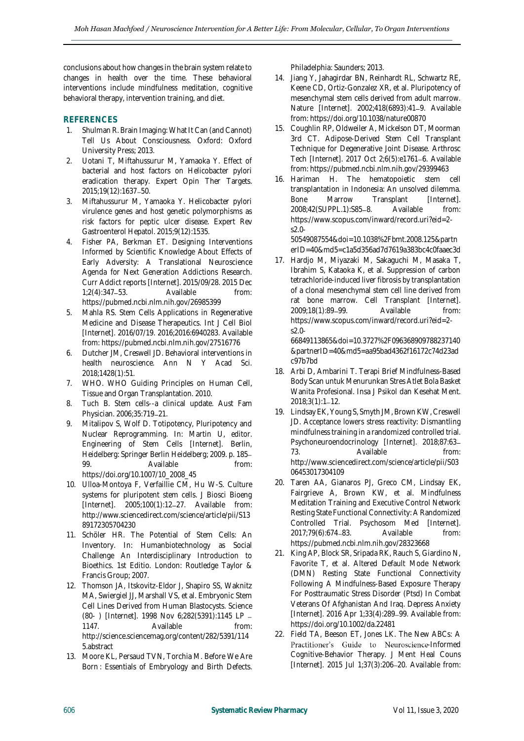conclusions about how changes in the brain system relate to changes in health over the time. These behavioral interventions include mindfulness meditation, cognitive behavioral therapy, intervention training, and diet.

## **REFERENCES**

- 1. Shulman R. Brain Imaging: What It Can (and Cannot) Tell Us About Consciousness. Oxford: Oxford University Press; 2013.
- 2. Uotani T, Miftahussurur M, Yamaoka Y. Effect of bacterial and host factors on Helicobacter pylori eradication therapy. Expert Opin Ther Targets. 2015;19(12):1637-50.
- 3. Miftahussurur M, Yamaoka Y. Helicobacter pylori virulence genes and host genetic polymorphisms as risk factors for peptic ulcer disease. Expert Rev Gastroenterol Hepatol. 2015;9(12):1535.
- 4. Fisher PA, Berkman ET. Designing Interventions Informed by Scientific Knowledge About Effects of Early Adversity: A Translational Neuroscience Agenda for Next Generation Addictions Research. Curr Addict reports [Internet]. 2015/09/28. 2015 Dec 1;2(4):347 53. Available from: https://pubmed.ncbi.nlm.nih.gov/26985399
- 5. Mahla RS. Stem Cells Applications in Regenerative Medicine and Disease Therapeutics. Int J Cell Biol [Internet]. 2016/07/19. 2016;2016:6940283. Available from: https://pubmed.ncbi.nlm.nih.gov/27516776
- 6. Dutcher JM, Creswell JD. Behavioral interventions in health neuroscience. Ann N Y Acad Sci. 2018;1428(1):51.
- 7. WHO. WHO Guiding Principles on Human Cell, Tissue and Organ Transplantation. 2010.
- 8. Tuch B. Stem cells--a clinical update. Aust Fam Physician. 2006;35:719-21.
- 9. Mitalipov S, Wolf D. Totipotency, Pluripotency and Nuclear Reprogramming. In: Martin U, editor. Engineering of Stem Cells [Internet]. Berlin, Heidelberg: Springer Berlin Heidelberg; 2009. p. 185 99. Available from: https://doi.org/10.1007/10\_2008\_45

- 10. Ulloa-Montoya F, Verfaillie CM, Hu W-S. Culture systems for pluripotent stem cells. J Biosci Bioeng [Internet]. 2005;100(1):12-27. Available from: http://www.sciencedirect.com/science/article/pii/S13 89172305704230
- 11. Schöler HR. The Potential of Stem Cells: An Inventory. In: Humanbiotechnology as Social Challenge An Interdisciplinary Introduction to Bioethics. 1st Editio. London: Routledge Taylor & Francis Group; 2007.
- 12. Thomson JA, Itskovitz-Eldor J, Shapiro SS, Waknitz MA, Swiergiel JJ, Marshall VS, et al. Embryonic Stem Cell Lines Derived from Human Blastocysts. Science (80- ) [Internet]. 1998 Nov 6;282(5391):1145 LP 1147. Available **from:** http://science.sciencemag.org/content/282/5391/114 5.abstract
- 13. Moore KL, Persaud TVN, Torchia M. Before We Are Born : Essentials of Embryology and Birth Defects.

Philadelphia: Saunders; 2013.

- 14. Jiang Y, Jahagirdar BN, Reinhardt RL, Schwartz RE, Keene CD, Ortiz-Gonzalez XR, et al. Pluripotency of mesenchymal stem cells derived from adult marrow. Nature [Internet]. 2002;418(6893):41-9. Available from: https://doi.org/10.1038/nature00870
- 15. Coughlin RP, Oldweiler A, Mickelson DT, Moorman 3rd CT. Adipose-Derived Stem Cell Transplant Technique for Degenerative Joint Disease. Arthrosc Tech [Internet]. 2017 Oct 2;6(5):e1761-6. Available from: https://pubmed.ncbi.nlm.nih.gov/29399463
- 16. Hariman H. The hematopoietic stem cell transplantation in Indonesia: An unsolved dilemma. Bone Marrow Transplant [Internet]. 2008;42(SUPPL.1):S85-8. Available from: https://www.scopus.com/inward/record.uri?eid=2  $s2.0-$

50549087554&doi=10.1038%2Fbmt.2008.125&partn erID=40&md5=c1a5d356ad7d7619a383bc4c0faaec3d

17. Hardjo M, Miyazaki M, Sakaguchi M, Masaka T, Ibrahim S, Kataoka K, et al. Suppression of carbon tetrachloride-induced liver fibrosis by transplantation of a clonal mesenchymal stem cell line derived from rat bone marrow. Cell Transplant [Internet]. 2009;18(1):89 99. Available from: https://www.scopus.com/inward/record.uri?eid=2 s2.0-

66849113865&doi=10.3727%2F096368909788237140 &partnerID=40&md5=aa95bad4362f16172c74d23ad c97b7bd

- 18. Arbi D, Ambarini T. Terapi Brief Mindfulness-Based Body Scan untuk Menurunkan Stres Atlet Bola Basket Wanita Profesional. Insa J Psikol dan Kesehat Ment. 2018;3(1):1-12.
- 19. Lindsay EK, Young S, Smyth JM, Brown KW, Creswell JD. Acceptance lowers stress reactivity: Dismantling mindfulness training in a randomized controlled trial. Psychoneuroendocrinology [Internet]. 2018;87:63 73. Available from: http://www.sciencedirect.com/science/article/pii/S03 06453017304109
- 20. Taren AA, Gianaros PJ, Greco CM, Lindsay EK, Fairgrieve A, Brown KW, et al. Mindfulness Meditation Training and Executive Control Network Resting State Functional Connectivity: A Randomized Controlled Trial. Psychosom Med [Internet]. 2017;79(6):674-83. Available from: https://pubmed.ncbi.nlm.nih.gov/28323668
- 21. King AP, Block SR, Sripada RK, Rauch S, Giardino N, Favorite T, et al. Altered Default Mode Network (DMN) Resting State Functional Connectivity Following A Mindfulness-Based Exposure Therapy For Posttraumatic Stress Disorder (Ptsd) In Combat Veterans Of Afghanistan And Iraq. Depress Anxiety [Internet]. 2016 Apr 1;33(4):289-99. Available from: https://doi.org/10.1002/da.22481
- 22. Field TA, Beeson ET, Jones LK. The New ABCs: A Practitioner's Guide to Neuroscience-Informed Cognitive-Behavior Therapy. J Ment Heal Couns [Internet]. 2015 Jul 1;37(3):206-20. Available from: